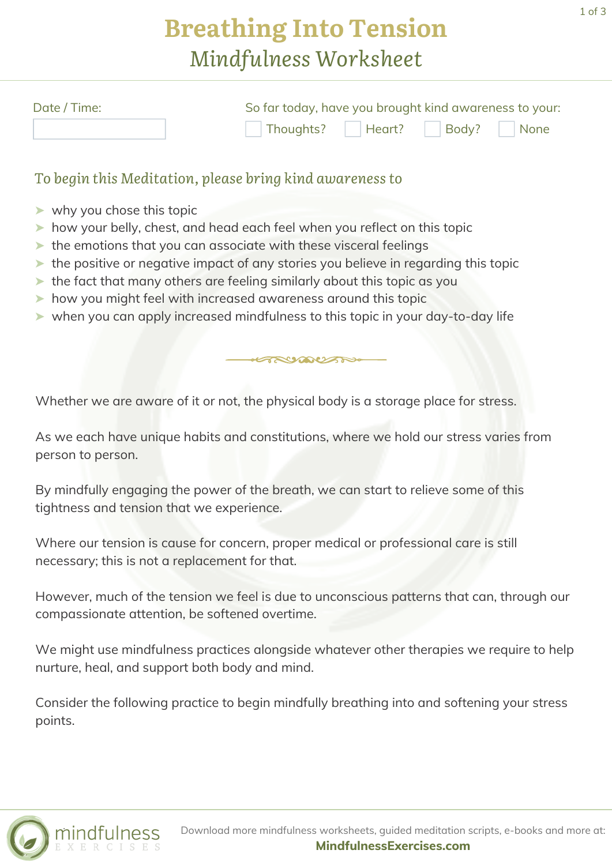## **Breathing Into Tension** *Mindfulness Worksheet*

| Date / Time: | So far today, have you brought kind awareness to your: |                               |
|--------------|--------------------------------------------------------|-------------------------------|
|              |                                                        | Thoughts?   Heart? Body? None |

#### *To begin this Meditation, please bring kind awareness to*

- ➤ why you chose this topic
- ➤ how your belly, chest, and head each feel when you reflect on this topic
- ➤ the emotions that you can associate with these visceral feelings
- ➤ the positive or negative impact of any stories you believe in regarding this topic
- ➤ the fact that many others are feeling similarly about this topic as you
- ➤ how you might feel with increased awareness around this topic
- ➤ when you can apply increased mindfulness to this topic in your day-to-day life

Whether we are aware of it or not, the physical body is a storage place for stress.

As we each have unique habits and constitutions, where we hold our stress varies from person to person.

RUDUAN

By mindfully engaging the power of the breath, we can start to relieve some of this tightness and tension that we experience.

Where our tension is cause for concern, proper medical or professional care is still necessary; this is not a replacement for that.

However, much of the tension we feel is due to unconscious patterns that can, through our compassionate attention, be softened overtime.

We might use mindfulness practices alongside whatever other therapies we require to help nurture, heal, and support both body and mind.

Consider the following practice to begin mindfully breathing into and softening your stress points.

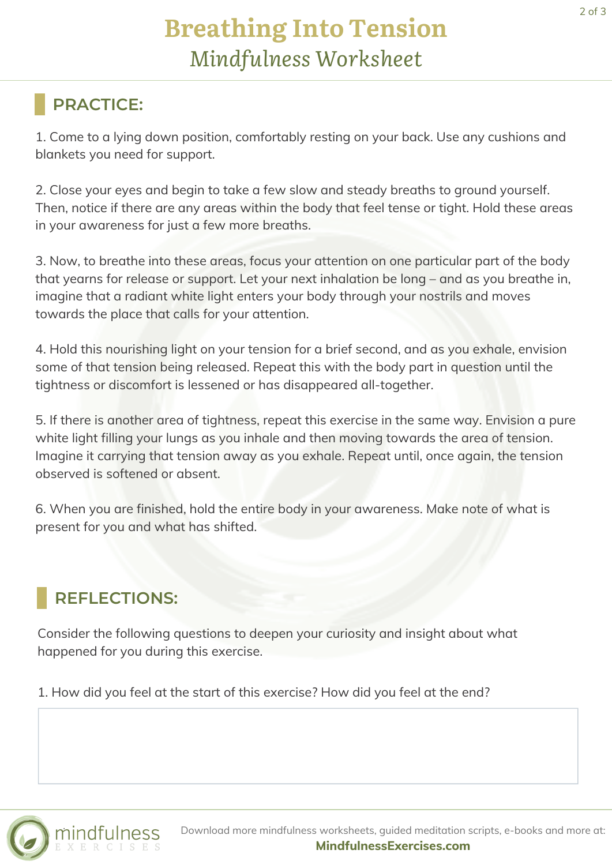### **PRACTICE:**

1. Come to a lying down position, comfortably resting on your back. Use any cushions and blankets you need for support.

2. Close your eyes and begin to take a few slow and steady breaths to ground yourself. Then, notice if there are any areas within the body that feel tense or tight. Hold these areas in your awareness for just a few more breaths.

3. Now, to breathe into these areas, focus your attention on one particular part of the body that yearns for release or support. Let your next inhalation be long – and as you breathe in, imagine that a radiant white light enters your body through your nostrils and moves towards the place that calls for your attention.

4. Hold this nourishing light on your tension for a brief second, and as you exhale, envision some of that tension being released. Repeat this with the body part in question until the tightness or discomfort is lessened or has disappeared all-together.

5. If there is another area of tightness, repeat this exercise in the same way. Envision a pure white light filling your lungs as you inhale and then moving towards the area of tension. Imagine it carrying that tension away as you exhale. Repeat until, once again, the tension observed is softened or absent.

6. When you are finished, hold the entire body in your awareness. Make note of what is present for you and what has shifted.

### **REFLECTIONS:**

Consider the following questions to deepen your curiosity and insight about what happened for you during this exercise.

1. How did you feel at the start of this exercise? How did you feel at the end?



Download more mindfulness worksheets, guided meditation scripts, e-books and more at: **[MindfulnessExercises.com](https://mindfulnessexercises.com/)**